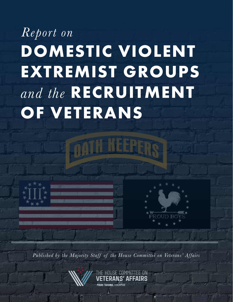# *Report on* **DOMESTIC VIOLENT EXTREMIST GROUPS** *and the* **RECRUITMENT OF VETERANS**



*Published by the Majority Staff of the House Committee on Veterans' Affairs*

COMMITTEE ON ERANS' AFFAIRS

1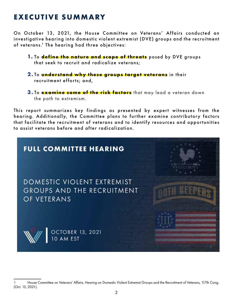## **EXECUTIVE SUMMARY**

On October 13, 2021, the House Committee on Veterans' Affairs conducted an investigative hearing into domestic violent extremist (DVE) groups and the recruitment of veterans.<sup>1</sup> The hearing had three objectives:

- **1.** To **define the nature and scope of threats** posed by DVE groups that seek to recruit and radicalize veterans;
- **2.** To **understand why these groups target veterans** in their recruitment efforts; and,
- **3.** To **examine some of the risk factors** that may lead a veteran down the path to extremism.

This report summarizes key findings as presented by expert witnesses from the hearing. Additionally, the Committee plans to further examine contributory factors that facilitate the recruitment of veterans and to identify resources and opportunities to assist veterans before and af ter radicalization.



<sup>1</sup> House Committee on Veterans' Affairs, Hearing on Domestic Violent Extremist Groups and the Recruitment of Veterans, 117th Cong. (Oct. 13, 2021).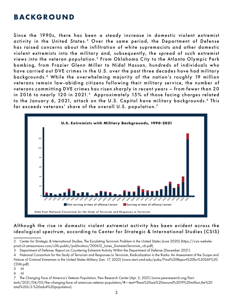## **BACKGROUND**

Since the 1990s, there has been a steady increase in domestic violent extremist activity in the United States.<sup>2</sup> Over the same period, the Department of Defense has raised concerns about the infiltration of white supremacists and other domestic violent extremists into the military and, subsequently, the spread of such extremist views into the veteran population.<sup>3</sup> From Oklahoma City to the Atlanta Olympic Park bombing, from Frazier Glenn Miller to Nidal Hassan, hundreds of individuals who have carried out DVE crimes in the U.S. over the past three decades have had military backgrounds.<sup>4</sup> While the overwhelming majority of the nation's roughly 19 million veterans remain law-abiding citizens following their military service, the number of veterans committing DVE crimes has risen sharply in recent years - from fewer than 20 in 2016 to nearly 120 in 2021.<sup>5</sup> Approximately 15% of those facing charges related to the January 6, 2021, attack on the U.S. Capitol have military backgrounds.<sup>6</sup> This far exceeds veterans' share of the overall U.S. population.<sup>7</sup>



#### Although the rise in domestic violent extremist activity has been evident across the ideological spectrum, according to Center for Strategic & International Studies (CSIS)

<sup>2</sup> Center for Strategic & International Studies, The Escalating Terrorism Problem in the United States (June 2020) (https://csis-websiteprod.s3.amazonaws.com/s3fs-public/publication/200612\_Jones\_DomesticTerrorism\_v6.pdf).

<sup>3</sup> Department of Defense, Report on Countering Extremist Activity Within the Department of Defense (December 2021).

<sup>4</sup> National Consortium for the Study of Terrorism and Responses to Terrorism, Radicalization in the Ranks: An Assessment of the Scope and Nature of Criminal Extremism in the United States Military (Jan. 17, 2022) (www.start.umd.edu/pubs/Final%20Report%20for%20SAF%20 CDM.pdf).

<sup>5</sup> *Id.*

<sup>6</sup> *Id.*

<sup>7</sup> The Changing Face of America's Veteran Population, Pew Research Center (Apr. 5, 2021) (www.pewresearch.org/fact-

tank/2021/04/05/the-changing-face-of-americas-veteran-population/#:~:text=There%20are%20around%2019%20million,the%20 total%20U.S.%20adult%20population).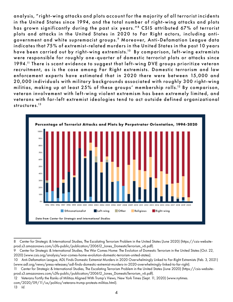analysis, "right-wing attacks and plots account for the majority of all terrorist incidents in the United States since 1994, and the total number of right-wing attacks and plots has grown significantly during the past six years."<sup>8</sup> CSIS attributed 67% of terrorist plots and attacks in the United States in 2020 to Far Right actors, including antigovernment and white supremacist groups.9 Moreover, Anti-Defamation League data indicates that 75% of extremist-related murders in the United States in the past 10 years have been carried out by right-wing extremists.<sup>10</sup> By comparison, left-wing extremists were responsible for roughly one-quarter of domestic terrorist plots or attacks since 1994.<sup>11</sup> There is scant evidence to suggest that left-wing DVE groups prioritize veteran recruitment, as is the case among Far Right extremists. Domestic terrorism and law enforcement experts have estimated that in 2020 there were between 15,000 and 20,000 individuals with military backgrounds associated with roughly 300 right-wing militias, making up at least 25% of these groups' membership rolls.12 By comparison, veteran involvement with left-wing violent extremism has been extremely limited, and veterans with far-left extremist ideologies tend to act outside defined organizational structures.<sup>13</sup>



<sup>8</sup> Center for Strategic & International Studies, The Escalating Terrorism Problem in the United States (June 2020) (https://csis-websiteprod.s3.amazonaws.com/s3fs-public/publication/200612\_Jones\_DomesticTerrorism\_v6.pdf).

<sup>9</sup> Center for Strategic & International Studies, The War Comes Home: The Evolution of Domestic Terrorism in the United States (Oct. 22, 2020) (www.csis.org/analysis/war-comes-home-evolution-domestic-terrorism-united-states).

<sup>10</sup> Anti-Defamation League, ADL Finds Domestic Extremist Murders in 2020 Overwhelmingly Linked to Far-Right Extremists (Feb. 3, 2021) (www.adl.org/news/press-releases/adl-finds-domestic-extremist-murders-in-2020-overwhelmingly-linked-to-far-right).

<sup>11</sup> Center for Strategic & International Studies, The Escalating Terrorism Problem in the United States (June 2020) (https://csis-websiteprod.s3.amazonaws.com/s3fs-public/publication/200612\_Jones\_DomesticTerrorism\_v6.pdf).

<sup>12</sup> Veterans Fortify the Ranks of Militias Aligned With Trump's Views, New York Times (Sept. 11, 2020) (www.nytimes.

com/2020/09/11/us/politics/veterans-trump-protests-militias.html).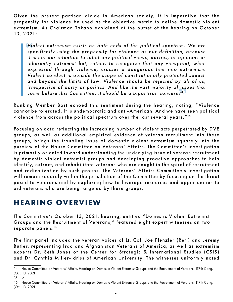Given the present partisan divide in American society, it is imperative that the propensity for violence be used as the objective metric to define domestic violent extremism. As Chairman Takano explained at the outset of the hearing on October 13, 2021:

**Wiolent extremism exists on both ends of the political spectrum. We are specifically using the propensity for violence as our definition, because** irrespective of party or politics. And like the vast majority of issues that  $\frac{1}{2}$ specifically using the propensity for violence as our definition, because *it is not our intention to label any political views, parties, or opinions as* inherently extremist but, rather, to recognize that any viewpoint, when *expressed through violence, crosses a dangerous line into extremism. Violent conduct is outside the scope of constitutionally protected speech and beyond the limits of law. Violence should be rejected by all of us, come before this Committee, it should be a bipartisan concern.14* 

Ranking Member Bost echoed this sentiment during the hearing, noting, " Violence cannot be tolerated. It is undemocratic and anti- American. And we have seen political violence from across the political spectrum over the last several years." <sup>15</sup>

Focusing on data reflecting the increasing number of violent acts perpetrated by DVE groups, as well as additional empirical evidence of veteran recruitment into these groups, brings the troubling issue of domestic violent extremism squarely into the purview of the House Committee on Veterans' Affairs. The Committee's investigation is primarily oriented toward understanding the underlying issue of veteran recruitment by domestic violent extremist groups and developing proactive approaches to help identify, extract, and rehabilitate veterans who are caught in the spiral of recruitment and radicalization by such groups. The Veterans' Affairs Committee's investigation will remain squarely within the jurisdiction of the Committee by focusing on the threat posed to veterans and by exploring how to leverage resources and opportunities to aid veterans who are being targeted by these groups.

## **HEARING OVERVIEW**

The Committee's October 13, 2021, hearing, entitled "Domestic Violent Extremist Groups and the Recruitment of Veterans," featured eight expert witnesses on two separate panels.<sup>16</sup>

The first panel included the veteran voices of Lt. Col. Joe Plenzler (Ret.) and Jeremy Butler, representing Iraq and Afghanistan Veterans of America, as well as extremism experts Dr. Seth Jones of the Center for Strategic & International Studies (CSIS) and Dr. Cynthia Miller-Idriss of American University. The witnesses uniformly noted

<sup>14</sup> House Committee on Veterans' Affairs, Hearing on Domestic Violent Extremist Groups and the Recruitment of Veterans, 117th Cong. (Oct. 13, 2021).

<sup>15</sup> *Id.*

<sup>16</sup> House Committee on Veterans' Affairs, Hearing on Domestic Violent Extremist Groups and the Recruitment of Veterans, 117th Cong. (Oct. 13, 2021).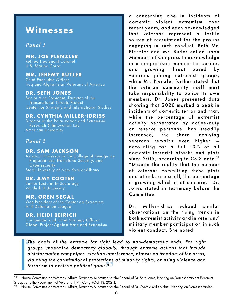# **Witnesses**

#### *Panel 1*

#### **MR. JOE PLENZLER** Retired Lieutenant Colonel

U.S. Marine Corps

#### **MR. JEREMY BUTLER**

Chief Executive Officer Iraq and Afghanistan Veterans of America

#### **DR. SETH JONES**

Senior Vice President, Director of the Transnational Threats Project Center for Strategic and International Studies

#### **DR. CYNTHIA MILLER-IDRISS**

Director of the Polarization and Extremism Research & Innovation Lab American University

#### *Panel 2*

#### **DR. SAM JACKSON**

Assistant Professor in the College of Emergency Preparedness, Homeland Security, and **Cybersecurity** State University of New York at Albany

#### **DR. AMY COOTER**

Senior Lecturer in Sociology Vanderbilt University

#### **MR. OREN SEGAL**

Vice President of the Center on Extremism Anti-Defamation League

#### **DR. HEIDI BEIRICH**

Co-Founder and Chief Strategy Officer Global Project Against Hate and Extremism a concerning rise in incidents of domestic violent extremism over recent years, and each acknowledged that veterans represent a fertile source of recruitment for the groups engaging in such conduct. Both Mr. Plenzler and Mr. Butler called upon Members of Congress to acknowledge in a nonpartisan manner the serious and growing threat posed by veterans joining extremist groups, while Mr. Plenzler further stated that the veteran community itself must take responsibility to police its own members. Dr. Jones presented data showing that 2020 marked a peak in incidents of domestic terror and that, while the percentage of extremist activity perpetrated by active-duty or reserve personnel has steadily increased, the share involving veterans remains even higher – accounting for a full 10% of all domestic terrorist attacks and plots since 2015, according to CSIS data.<sup>17</sup> "Despite the reality that the number of veterans committing these plots and attacks are small, the percentage is growing, which is of concern," Dr. Jones stated in testimony before the Committee.

Dr. Miller-Idriss echoed similar obser vations on the rising trends in both extremist activity and in veteran/ military member participation in such violent conduct. She noted:

The goals of the extreme far right lead to non-democratic ends. Far right groups undermine democracy globally, through extreme actions that include distribution comparison election interference attacked an freedom of the p **"** *violating the constitutional protections of minority rights, or using violence and groups undermine democracy globally, through extreme actions that include disinformation campaigns, election interference, attacks on freedom of the press, terrorism to achieve political goals.18*

<sup>17</sup> House Committee on Veterans' Affairs, Testimony Submitted for the Record of Dr. Seth Jones, Hearing on Domestic Violent Extremist Groups and the Recruitment of Veterans, 117th Cong. (Oct. 13, 2021).

<sup>18</sup> House Committee on Veterans' Affairs, Testimony Submitted for the Record of Dr. Cynthia Miller-Idriss, Hearing on Domestic Violent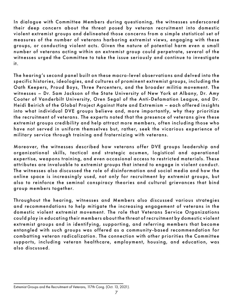In dialogue with Committee Members during questioning, the witnesses underscored their deep concern about the threat posed by veteran recruitment into domestic violent extremist groups and delineated those concerns from a simple statistical set of measures of the number of veterans harboring extremist views, engaging with these groups, or conducting violent acts. Given the nature of potential harm even a small number of veterans acting within an extremist group could perpetrate, several of the witnesses urged the Committee to take the issue seriously and continue to investigate it.

The hearing's second panel built on these macro-level obser vations and delved into the specific histories, ideologies, and cultures of prominent extremist groups, including the Oath Keepers, Proud Boys, Three Percenters, and the broader militia movement. The witnesses - Dr. Sam Jackson of the State University of New York at Albany, Dr. Amy Cooter of Vanderbilt University, Oren Segal of the Anti-Defamation League, and Dr. Heidi Beirich of the Global Project Against Hate and Extremism - each offered insights into what individual DVE groups believe and, more importantly, why they prioritize the recruitment of veterans. The experts noted that the presence of veterans give these extremist groups credibility and help attract more members, often including those who have not ser ved in uniform themselves but, rather, seek the vicarious experience of military service through training and fraternizing with veterans.

Moreover, the witnesses described how veterans offer DVE groups leadership and organizational skills, tactical and strategic acumen, logistical and operational expertise, weapons training, and even occasional access to restricted materials. These attributes are invaluable to extremist groups that intend to engage in violent conduct. The witnesses also discussed the role of disinformation and social media and how the online space is increasingly used, not only for recruitment by extremist groups, but also to reinforce the seminal conspiracy theories and cultural grievances that bind group members together.

Throughout the hearing, witnesses and Members also discussed various strategies and recommendations to help mitigate the increasing engagement of veterans in the domestic violent extremist movement. The role that Veterans Service Organizations could play in educating their members about the threat of recruitment by domestic violent extremist groups and in identifying, supporting, and referring members that become entangled with such groups was offered as a community-based recommendation for combatting veteran radicalization. The connection with other priorities the Committee supports, including veteran healthcare, employment, housing, and education, was also discussed.

Extremist Groups and the Recruitment of Veterans, 117th Cong. (Oct. 13, 2021).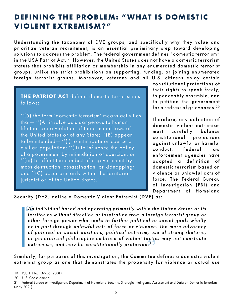## **DEFINING THE PROBLEM: " WHAT IS DOMESTIC VIOLENT EXTREMISM?"**

Understanding the taxonomy of DVE groups, and specifically why they value and prioritize veteran recruitment, is an essential preliminary step toward developing solutions to address the problem. The federal government defines "domestic terrorism" in the USA Patriot Act.<sup>19</sup> However, the United States does not have a domestic terrorism statute that prohibits affiliation or membership in any enumerated domestic terrorist groups, unlike the strict prohibitions on supporting, funding, or joining enumerated foreign terrorist groups. Moreover, veterans and all U.S. citizens enjoy certain

**THE PATRIOT ACT** defines domestic terrorism as follows:

''(5) the term 'domestic terrorism' means activities that— ''(A) involve acts dangerous to human life that are a violation of the criminal laws of the United States or of any State; ''(B) appear to be intended— ''(i) to intimidate or coerce a civilian population; ''(ii) to influence the policy of a government by intimidation or coercion; or ''(iii) to affect the conduct of a government by mass destruction, assassination, or kidnapping; and ''(C) occur primarily within the territorial jurisdiction of the United States.''

constitutional protections of their rights to speak freely, to peaceably assemble, and to petition the government for a redress of grievances. <sup>20</sup>

Therefore, any definition of domestic violent extremism must carefully balance constitutional protections against unlawful or harmful conduct. Federal law enforcement agencies have adopted a definition of domestic terrorism based on violence or unlawful acts of force. The Federal Bureau of Investigation (FBI) and Department of Homeland

Security (DHS) define a Domestic Violent Extremist (DVE) as:

An individual based and operating primarily within the United States or its territories without direction or inspiration from a foreign terrorist group or ather fersion newer who seeks to further nelitional or social goals **"** *or generalized philosophic embrace of violent tactics may not constitute territories without direction or inspiration from a foreign terrorist group or other foreign power who seeks to fur ther political or social goals wholly*  or in part through unlawful acts of force or violence. The mere advocacy *of political or social positions, political activism, use of strong rhetoric, extremism, and may be constitutionally protected. 21* 

Similarly, for purposes of this investigation, the Committee defines a domestic violent extremist group as one that demonstrates the propensity for violence or actual use

<sup>19</sup> Pub. L. No. 107-56 (2001).

<sup>20</sup> U.S. Const. amend. I.

<sup>21</sup> Federal Bureau of Investigation, Department of Homeland Security, Strategic Intelligence Assessment and Data on Domestic Terrorism (May 2021).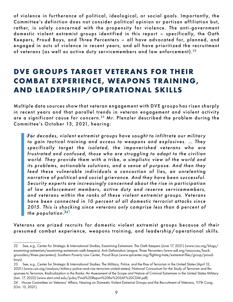of violence in furtherance of political, ideological, or social goals. Importantly, the Committee's definition does not consider political opinion or partisan affiliation but, rather, is solely concerned with the propensity for violence. The anti-government domestic violent extremist groups identified in this report - specifically, the Oath Keepers, Proud Boys, and Three Percenters – all have advocated for, planned, and engaged in acts of violence in recent years, and all have prioritized the recruitment of veterans (as well as active duty servicemembers and law enforcement). <sup>22</sup>

# **DVE GROUPS TARGET VETERANS FOR THEIR COMBAT EXPERIENCE, WEAPONS TRAINING, AND LEADERSHIP/OPERATIONAL SKILLS**

Multiple data sources show that veteran engagement with DVE groups has risen sharply in recent years and that parallel trends in veteran engagement and violent activity are a significant cause for concern.<sup>23</sup> Mr. Plenzler described the problem during the Committee's October 13, 2021, hearing:

**For** decades, violent extremist groups have sought to infiltrate our military<br>to gain tactical training and access to weapons and explosives. ... They **"** *2015. This is shocking since veterans only comprise less than 6 percent of For decades, violent extremist groups have sought to infiltrate our militar y specifically target the isolated, the impoverished veterans who are frustrated and confused, those who are struggling to adapt to the civilian world. They provide them with a tribe, a simplistic view of the world and its problems, actionable solutions, and a sense of purpose. And then they feed these vulnerable individuals a concoction of lies, an unrelenting narrative of political and social grievance. And they have been successful.*  Security experts are increasingly concerned about the rise in participation of law enforcement members, active duty and reserve servicemembers, *and veterans within the ranks of these violent extremist groups. Veterans*  have been connected in 10 percent of all domestic terrorist attacks since *the population. <sup>24</sup>*

Veterans are prized recruits for domestic violent extremist groups because of their presumed combat experience, weapons training, and leadership/operational skills.

23 See, e.g., Center for Strategic & International Studies, The Military, Police, and the Rise of Terrorism in the United States (April 12,

2021) (www.csis.org/analysis/military-police-and-rise-terrorism-united-states); National Consortium for the Study of Terrorism and Responses to Terrorism, Radicalization in the Ranks: An Assessment of the Scope and Nature of Criminal Extremism in the United States Military (Jan. 17, 2022) (www.start.umd.edu/pubs/Final%20Report%20for%20SAF%20CDM.pdf).

<sup>22</sup> See, e.g., Center for Strategic & International Studies, Examining Extremism: The Oath Keepers (June 17, 2021) (www.csis.org/blogs/ examining-extremism/examining-extremism-oath-keepers); Anti-Defamation League, Three Percenters (www.adl.org/resources/backgrounders/three-percenters); Southern Poverty Law Center, Proud Boys (www.splcenter.org/fighting-hate/extremist-files/group/proudboys).

<sup>24</sup> House Committee on Veterans' Affairs, Hearing on Domestic Violent Extremist Groups and the Recruitment of Veterans, 117th Cong. (Oct. 13, 2021).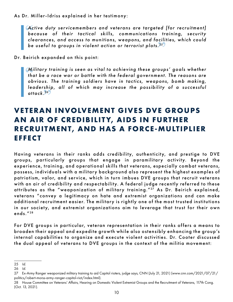#### As Dr. Miller-Idriss explained in her testimony:

Ac<br>be **"** *clearances, and access to munitions, weapons, and facilities, which could Active duty servicemembers and veterans are targeted [for recruitment]* because of their tactical skills, communications training, security *be useful to groups in violent action or terrorist plots. <sup>25</sup>*

Dr. Beirich expanded on this point:

Military training is seen as vital to achieving these groups' goals whether that be a race war or battle with the federal government. The reasons are obvious. The training soldiers have in tactics, we apons, bomb making leadership, all of which may increase the possibility of a successful<br>attack.<sup>26</sup>) *that be a race war or bat tle with the federal government. The reasons are obvious. The training soldiers have in tactics, weapons, bomb making, attack. <sup>26</sup>*

## **VE TERAN INVOLVEMENT GIVES DVE GROUPS AN AIR OF CREDIBILITY, AIDS IN FURTHER RECRUITMENT, AND HAS A FORCE-MULTIPLIER EFFECT**

Having veterans in their ranks adds credibility, authenticity, and prestige to DVE groups, particularly groups that engage in paramilitary activity. Beyond the experience, training, and operational skills that veterans, especially combat veterans, possess, individuals with a military background also represent the highest examples of patriotism, valor, and service, which in turn imbues DVE groups that recruit veterans with an air of credibility and respectability. A federal judge recently referred to these attributes as the "weaponization of military training." 27 As Dr. Beirich explained, veterans "convey a legitimacy on hate and extremist organizations and can make additional recruitment easier. The military is rightly one of the most trusted institutions in our society, and extremist organizations aim to leverage that trust for their own ends." <sup>28</sup>

For DVE groups in particular, veteran representation in their ranks offers a means to broaden their appeal and expedite grow th while also ostensibly enhancing the group's internal capabilities to organize and execute violent activities. Dr. Cooter discussed the dual appeal of veterans to DVE groups in the context of the militia movement:

<sup>25</sup> *Id.*

<sup>26</sup> *Id.*

<sup>27</sup> Ex-Army Ranger weaponized military training to aid Capitol rioters, judge says, CNN (July 21, 2021) (www.cnn.com/2021/07/21/ politics/robert-morss-army-ranger-capitol-riot/index.html).

<sup>28</sup> House Committee on Veterans' Affairs, Hearing on Domestic Violent Extremist Groups and the Recruitment of Veterans, 117th Cong. (Oct. 13, 2021).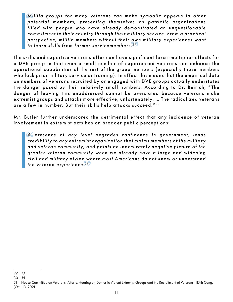**Mi**<br>po<br>t:11 perspective, militia members without their own military experiences want<br>to learn skills from former servicemembers <sup>29</sup> *Militia groups for many veterans can make symbolic appeals to other potential members, presenting themselves as patriotic organizations filled with people who have already demonstrated an unquestionable*  commitment to their country through their military service. From a practical *to learn skills from former servicemembers. <sup>29</sup>*

The skills and expertise veterans offer can have significant force-multiplier effects for a DVE group in that even a small number of experienced veterans can enhance the operational capabilities of the rest of the group members (especially those members who lack prior military service or training). In effect this means that the empirical data on numbers of veterans recruited by or engaged with DVE groups actually understates the danger posed by their relatively small numbers. According to Dr. Beirich, " The danger of leaving this unaddressed cannot be overstated because veterans make extremist groups and attacks more effective, unfortunately. ... The radicalized veterans are a few in number. But their skills help attacks succeed."<sup>30</sup>

Mr. Butler further underscored the detrimental effect that any incidence of veteran involvement in extremist acts has on broader public perceptions:

A presence at any level degrades confidence in government, lends credibility to any extremist organization that claims members of the military civil and military divide where most Americans do not know or understand<br>the veteran experience.<sup>31</sup> credibility to any extremist organization that claims members of the military and veteran community, and paints an inaccurately negative picture of the greater veteran community when we already have a large and widening *the veteran experience.* <sup>31</sup>

<sup>29</sup> *Id.*

<sup>30</sup> *Id.*

<sup>31</sup> House Committee on Veterans' Affairs, Hearing on Domestic Violent Extremist Groups and the Recruitment of Veterans, 117th Cong. (Oct. 13, 2021).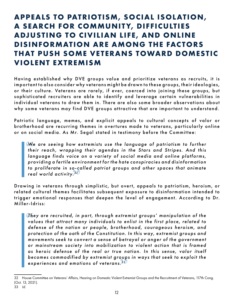# **APPEALS TO PATRIOTISM, SOCIAL ISOLATION, A SEARCH FOR COMMUNITY, DIFFICULTIES ADJUSTING TO CIVILIAN LIFE, AND ONLINE DISINFORMATION ARE AMONG THE FAC TORS THAT PUSH SOME VETERANS TOWARD DOMESTIC VIOLENT EXTREMISM**

Having established why DVE groups value and prioritize veterans as recruits, it is important to also consider why veterans might be drawn to these groups, their ideologies, or their culture. Veterans are rarely, if ever, coerced into joining these groups, but sophisticated recruiters are able to identify and leverage certain vulnerabilities in individual veterans to draw them in. There are also some broader obser vations about why some veterans may find DVE groups attractive that are important to understand.

Patriotic language, memes, and explicit appeals to cultural concepts of valor or brotherhood are recurring themes in overtures made to veterans, particularly online or on social media. As Mr. Segal stated in testimony before the Committee:

**"** *to proliferate in so-called patriot groups and other spaces that animate*  We are seeing how extremists use the language of patriotism to further<br>their reach, wrapping their agendas in the Stars and Stripes. And this We are seeing how extremists use the language of patriotism to further *language finds voice on a variety of social media and online platforms, providing a fer tile environment for the hate conspiracies and disinformation real world activity. <sup>32</sup>*

Drawing in veterans through simplistic, but overt, appeals to patriotism, heroism, or related cultural themes facilitates subsequent exposure to disinformation intended to trigger emotional responses that deepen the level of engagement. According to Dr. Miller-Idriss:

**"** *becomes commodified by extremist groups in ways that seek to exploit the*  They are recruited, in part, through extremist groups' manipulation of the values that attract many individuals to enlist in the first place, related to values that attract many individuals to enlist in the first place, related to *defense of the nation or people, brotherhood, courageous heroism, and protection of the oath of the Constitution. In this way, extremist groups and*  movements seek to convert a sense of betrayal or anger of the government or mainstream society into mobilization to violent action that is framed *as heroic defense of the real or true nation. In this sense, valor itself experiences and emotions of veterans. 33* 

<sup>32</sup> House Committee on Veterans' Affairs, Hearing on Domestic Violent Extremist Groups and the Recruitment of Veterans, 117th Cong. (Oct. 13, 2021).

<sup>33</sup> *Id.*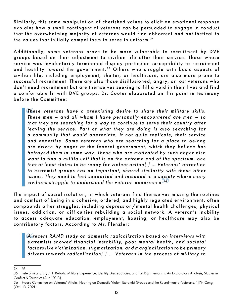Similarly, this same manipulation of cherished values to elicit an emotional response explains how a small contingent of veterans can be persuaded to engage in conduct that the overwhelming majority of veterans would find abhorrent and antithetical to the values that initially compel them to serve in uniform. <sup>34</sup>

Additionally, some veterans prove to be more vulnerable to recruitment by DVE groups based on their adjustment to civilian life after their service. Those whose service was involuntarily terminated display particular susceptibility to recruitment and hostility toward the government.<sup>35</sup> Others who struggle with basic aspects of civilian life, including employment, shelter, or healthcare, are also more prone to successful recruitment. There are also those disillusioned, angry, or lost veterans who don't need recruitment but are themselves seeking to fill a void in their lives and find a comfortable fit with DVE groups. Dr. Cooter elaborated on this point in testimony before the Committee:

These veterans have a preexisting desire to share their military skills.<br>These men – and all whom I have personally encountered are men – so issues. They need to feel supported and included in a society where many issues. They need to feel supported and included in a society where many *These men – and all whom I have personally encountered are men – so*  that they are searching for a way to continue to serve their country after *leaving the service. Part of what they are doing is also searching for* a community that would appreciate, if not quite replicate, their service *and exper tise. Some veterans who are searching for a place to belong are driven by anger at the federal government, which they believe has betrayed them in some way. Those who are motivated by such anger also want to find a militia unit that is on the extreme end of the spectrum, one that at least claims to be ready for violent action[.] … Veterans' at traction*  to extremist groups has an important, shared similarity with those other *civilians struggle to understand the veteran experience. <sup>36</sup>*

The impact of social isolation, in which veterans find themselves missing the routines and comfort of being in a cohesive, ordered, and highly regulated environment, often compounds other struggles, including depression/mental health challenges, physical issues, addiction, or difficulties rebuilding a social network. A veteran's inability to access adequate education, employment, housing, or healthcare may also be contributory factors. According to Mr. Plenzler:

A recent RAND study on domestic radicalization based on interviews with extremists showed financial instability, poor mental health, and societal factors of the state of the state of the state of the state of the state of *A recent RAND study on domestic radicalization based on inter views with factors like victimization, stigmatization, and marginalization to be primar y*  drivers towards radicalization[.] ... Veterans in the process of military to

<sup>34</sup> *Id.*

<sup>35</sup> Pete Simi and Bryan F. Bubolz, Military Experience, Identity Discrepancies, and Far Right Terrorism: An Exploratory Analysis, Studies in Conflict & Terrorism (Aug. 2013).

<sup>36</sup> House Committee on Veterans' Affairs, Hearing on Domestic Violent Extremist Groups and the Recruitment of Veterans, 117th Cong. (Oct. 13, 2021).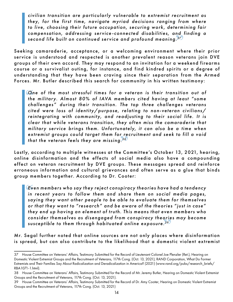**"** *compensation, addressing ser vice -connected disabilities, and finding a civilian transition are par ticularly vulnerable to extremist recruitment as they, for the first time, navigate myriad decisions ranging from where*  to live, choosing their future occupation, securing work, determining fair *second life built on continued service and profound meaning. <sup>37</sup>*

Seeking camaraderie, acceptance, or a welcoming environment where their prior ser vice is understood and respected is another prevalent reason veterans join DVE groups of their own accord. They may respond to an invitation for a weekend firearms course or a survivalist outing, for instance, and find kindred spirits or a degree of understanding that they have been craving since their separation from the Armed Forces. Mr. Butler described this search for community in his written testimony:

**C**ne of the most stressful times for a veteran is their transition out of the military. Almost 80% of IAVA members cited having at least "some challenges" during their transition. The text three challenges veterings extremist groups could target them for recruitment and seek to fill a void<br>that the veteran feels they are missing <sup>38</sup> *the militar y. Almost 80% of IAVA members cited having at least "some challenges" during their transition. The top three challenges veterans cited were loss of identity/purpose, relating to non-veteran civilians/* reintegrating with community, and readjusting to their social life. It is *clear that while veterans transition, they of ten miss the camaraderie that*  military service brings them. Unfortunately, it can also be a time when *that the veteran feels they are missing. <sup>38</sup>*

Lastly, according to multiple witnesses at the Committee's October 13, 2021, hearing, online disinformation and the ef fects of social media also have a compounding effect on veteran recruitment by DVE groups. These messages spread and reinforce erroneous information and cultural grievances and often serve as a glue that binds group members together. According to Dr. Cooter:

**Ev**en members who say they reject conspiracy theories have had a tendency<br>in recent years to follow them and share them on social media pages, **"** *consider themselves as disengaged from conspiracy theories may become Even members who say they reject conspiracy theories have had a tendency saying they want other people to be able to evaluate them for themselves or that they want to "research" and be aware of the theories "just in case" they end up having an element of truth . This means that even members who susceptible to them through habituated online exposure. <sup>39</sup>*

Mr. Segal further noted that online sources are not only places where disinformation is spread, but can also contribute to the likelihood that a domestic violent extremist

<sup>37</sup> House Committee on Veterans' Affairs, Testimony Submitted for the Record of Lieutenant Colonel Joe Plenzler (Ret.), Hearing on Domestic Violent Extremist Groups and the Recruitment of Veterans, 117th Cong. (Oct. 13, 2021); RAND Corporation, What Do Former Extremists and Their Families Say About Radicalization and Deradicalization in America? (2021) (www.rand.org/pubs/research\_briefs/ RBA1071-1.html).

<sup>38</sup> House Committee on Veterans' Affairs, Testimony Submitted for the Record of Mr. Jeremy Butler, Hearing on Domestic Violent Extremist Groups and the Recruitment of Veterans, 117th Cong. (Oct. 13, 2021).

<sup>39</sup> House Committee on Veterans' Affairs, Testimony Submitted for the Record of Dr. Amy Cooter, Hearing on Domestic Violent Extremist Groups and the Recruitment of Veterans, 117th Cong. (Oct. 13, 2021)